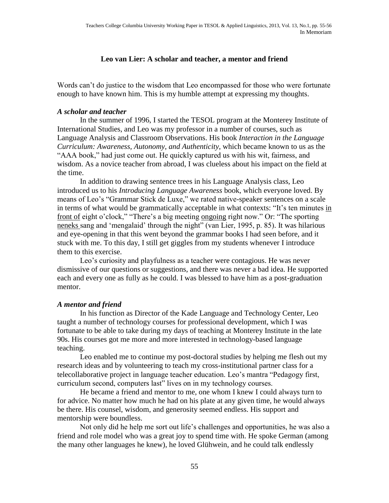## **Leo van Lier: A scholar and teacher, a mentor and friend**

Words can't do justice to the wisdom that Leo encompassed for those who were fortunate enough to have known him. This is my humble attempt at expressing my thoughts.

## *A scholar and teacher*

In the summer of 1996, I started the TESOL program at the Monterey Institute of International Studies, and Leo was my professor in a number of courses, such as Language Analysis and Classroom Observations. His book *Interaction in the Language Curriculum: Awareness, Autonomy, and Authenticity*, which became known to us as the "AAA book," had just come out. He quickly captured us with his wit, fairness, and wisdom. As a novice teacher from abroad, I was clueless about his impact on the field at the time.

In addition to drawing sentence trees in his Language Analysis class, Leo introduced us to his *Introducing Language Awareness* book, which everyone loved. By means of Leo's "Grammar Stick de Luxe," we rated native-speaker sentences on a scale in terms of what would be grammatically acceptable in what contexts: "It's ten minutes in front of eight o'clock," "There's a big meeting ongoing right now." Or: "The sporting neneks sang and 'mengalaid' through the night" (van Lier, 1995, p. 85). It was hilarious and eye-opening in that this went beyond the grammar books I had seen before, and it stuck with me. To this day, I still get giggles from my students whenever I introduce them to this exercise.

Leo's curiosity and playfulness as a teacher were contagious. He was never dismissive of our questions or suggestions, and there was never a bad idea. He supported each and every one as fully as he could. I was blessed to have him as a post-graduation mentor.

## *A mentor and friend*

In his function as Director of the Kade Language and Technology Center, Leo taught a number of technology courses for professional development, which I was fortunate to be able to take during my days of teaching at Monterey Institute in the late 90s. His courses got me more and more interested in technology-based language teaching.

Leo enabled me to continue my post-doctoral studies by helping me flesh out my research ideas and by volunteering to teach my cross-institutional partner class for a telecollaborative project in language teacher education. Leo's mantra "Pedagogy first, curriculum second, computers last" lives on in my technology courses.

He became a friend and mentor to me, one whom I knew I could always turn to for advice. No matter how much he had on his plate at any given time, he would always be there. His counsel, wisdom, and generosity seemed endless. His support and mentorship were boundless.

Not only did he help me sort out life's challenges and opportunities, he was also a friend and role model who was a great joy to spend time with. He spoke German (among the many other languages he knew), he loved Glühwein, and he could talk endlessly